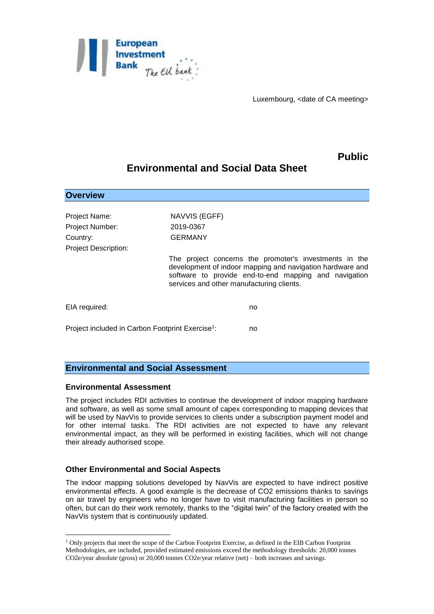

Luxembourg, <date of CA meeting>

## **Public**

# **Environmental and Social Data Sheet**

| <b>Overview</b>                                              |                                                                                                                                                                                                                           |
|--------------------------------------------------------------|---------------------------------------------------------------------------------------------------------------------------------------------------------------------------------------------------------------------------|
|                                                              |                                                                                                                                                                                                                           |
| Project Name:                                                | NAVVIS (EGFF)                                                                                                                                                                                                             |
| Project Number:                                              | 2019-0367                                                                                                                                                                                                                 |
| Country:                                                     | <b>GERMANY</b>                                                                                                                                                                                                            |
| <b>Project Description:</b>                                  |                                                                                                                                                                                                                           |
|                                                              | The project concerns the promoter's investments in the<br>development of indoor mapping and navigation hardware and<br>software to provide end-to-end mapping and navigation<br>services and other manufacturing clients. |
| EIA required:                                                | no                                                                                                                                                                                                                        |
| Project included in Carbon Footprint Exercise <sup>1</sup> : | no                                                                                                                                                                                                                        |
|                                                              |                                                                                                                                                                                                                           |

### **Environmental and Social Assessment**

#### **Environmental Assessment**

1

The project includes RDI activities to continue the development of indoor mapping hardware and software, as well as some small amount of capex corresponding to mapping devices that will be used by NavVis to provide services to clients under a subscription payment model and for other internal tasks. The RDI activities are not expected to have any relevant environmental impact, as they will be performed in existing facilities, which will not change their already authorised scope.

#### **Other Environmental and Social Aspects**

The indoor mapping solutions developed by NavVis are expected to have indirect positive environmental effects. A good example is the decrease of CO2 emissions thanks to savings on air travel by engineers who no longer have to visit manufacturing facilities in person so often, but can do their work remotely, thanks to the "digital twin" of the factory created with the NavVis system that is continuously updated.

<sup>1</sup> Only projects that meet the scope of the Carbon Footprint Exercise, as defined in the EIB Carbon Footprint Methodologies, are included, provided estimated emissions exceed the methodology thresholds: 20,000 tonnes CO2e/year absolute (gross) or 20,000 tonnes CO2e/year relative (net) – both increases and savings.